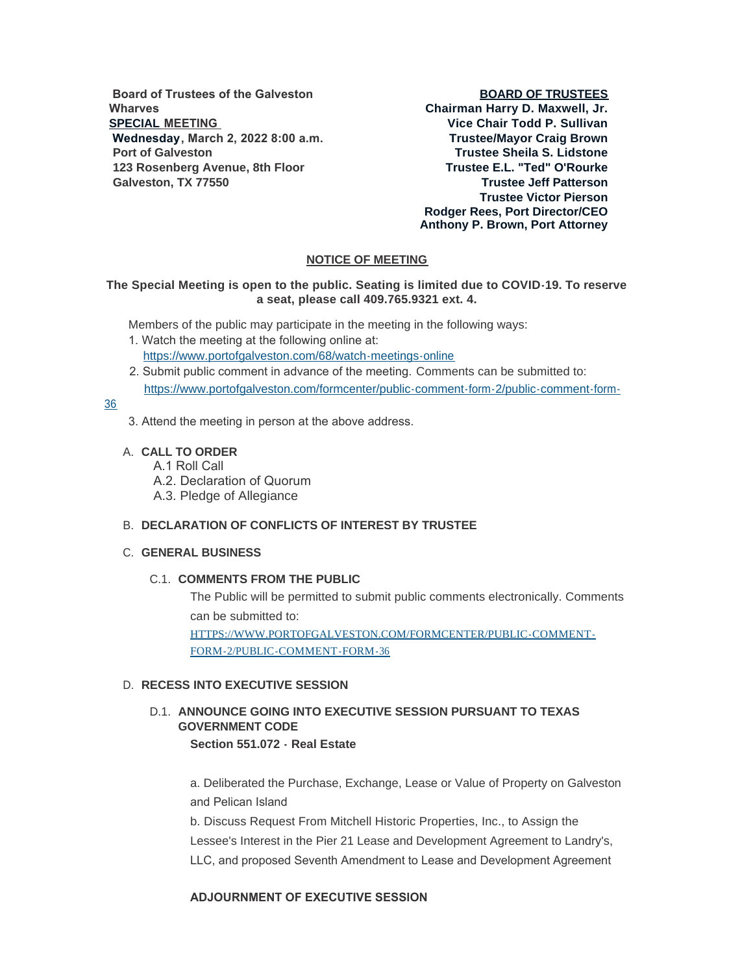**Board of Trustees of the Galveston Wharves SPECIAL MEETING Wednesday, March 2, 2022 8:00 a.m. Port of Galveston 123 Rosenberg Avenue, 8th Floor Galveston, TX 77550**

## **BOARD OF TRUSTEES**

**Chairman Harry D. Maxwell, Jr. Vice Chair Todd P. Sullivan Trustee/Mayor Craig Brown Trustee Sheila S. Lidstone Trustee E.L. "Ted" O'Rourke Trustee Jeff Patterson Trustee Victor Pierson Rodger Rees, Port Director/CEO Anthony P. Brown, Port Attorney**

# **NOTICE OF MEETING**

## **The Special Meeting is open to the public. Seating is limited due to COVID-19. To reserve a seat, please call 409.765.9321 ext. 4.**

Members of the public may participate in the meeting in the following ways:

- 1. Watch the meeting at the following online at: [https://www.portofgalveston.com/68/watch-meetings-online](https://www.portofgalveston.com/68/Watch-Meetings-Online)
- 2. Submit public comment in advance of the meeting. Comments can be submitted to: [https://www.portofgalveston.com/formcenter/public-comment-form-2/public-comment-form-](https://www.portofgalveston.com/formcenter/public-comment-form-2/public-comment-form-36)

### 36

- 3. Attend the meeting in person at the above address.
- **CALL TO ORDER** A.
	- A.1 Roll Call
	- A.2. Declaration of Quorum
	- A.3. Pledge of Allegiance

## **DECLARATION OF CONFLICTS OF INTEREST BY TRUSTEE** B.

## **GENERAL BUSINESS** C.

### **C.1. COMMENTS FROM THE PUBLIC**

The Public will be permitted to submit public comments electronically. Comments can be submitted to: [HTTPS://WWW.PORTOFGALVESTON.COM/FORMCENTER/PUBLIC-COMMENT-](https://www.portofgalveston.com/FORMCENTER/PUBLIC-COMMENT-FORM-2/PUBLIC-COMMENT-FORM-36)FORM-2/PUBLIC-COMMENT-FORM-36

### D. RECESS INTO EXECUTIVE SESSION

# D.1. ANNOUNCE GOING INTO EXECUTIVE SESSION PURSUANT TO TEXAS **GOVERNMENT CODE Section 551.072 - Real Estate**

a. Deliberated the Purchase, Exchange, Lease or Value of Property on Galveston and Pelican Island

b. Discuss Request From Mitchell Historic Properties, Inc., to Assign the Lessee's Interest in the Pier 21 Lease and Development Agreement to Landry's, LLC, and proposed Seventh Amendment to Lease and Development Agreement

### **ADJOURNMENT OF EXECUTIVE SESSION**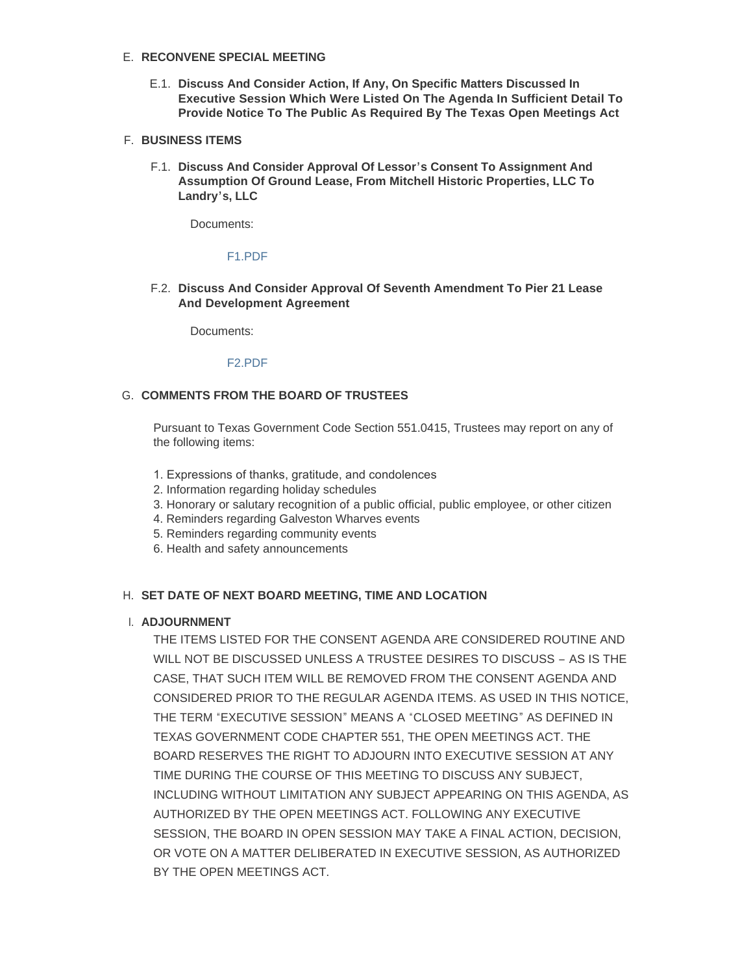# **RECONVENE SPECIAL MEETING** E.

**Discuss And Consider Action, If Any, On Specific Matters Discussed In**  E.1. **Executive Session Which Were Listed On The Agenda In Sufficient Detail To Provide Notice To The Public As Required By The Texas Open Meetings Act** 

# **BUSINESS ITEMS** F.

**Discuss And Consider Approval Of Lessor's Consent To Assignment And**  F.1. **Assumption Of Ground Lease, From Mitchell Historic Properties, LLC To Landry's, LLC**

Documents:

#### [F1.PDF](https://www.portofgalveston.com/AgendaCenter/ViewFile/Item/4727?fileID=8391)

**Discuss And Consider Approval Of Seventh Amendment To Pier 21 Lease**  F.2. **And Development Agreement**

Documents:

#### [F2.PDF](https://www.portofgalveston.com/AgendaCenter/ViewFile/Item/4728?fileID=8390)

### G. COMMENTS FROM THE BOARD OF TRUSTEES

Pursuant to Texas Government Code Section 551.0415, Trustees may report on any of the following items:

- 1. Expressions of thanks, gratitude, and condolences
- 2. Information regarding holiday schedules
- 3. Honorary or salutary recognition of a public official, public employee, or other citizen
- 4. Reminders regarding Galveston Wharves events
- 5. Reminders regarding community events
- 6. Health and safety announcements

### **SET DATE OF NEXT BOARD MEETING, TIME AND LOCATION** H.

#### **ADJOURNMENT** I.

THE ITEMS LISTED FOR THE CONSENT AGENDA ARE CONSIDERED ROUTINE AND WILL NOT BE DISCUSSED UNLESS A TRUSTEE DESIRES TO DISCUSS – AS IS THE CASE, THAT SUCH ITEM WILL BE REMOVED FROM THE CONSENT AGENDA AND CONSIDERED PRIOR TO THE REGULAR AGENDA ITEMS. AS USED IN THIS NOTICE, THE TERM "EXECUTIVE SESSION" MEANS A "CLOSED MEETING" AS DEFINED IN TEXAS GOVERNMENT CODE CHAPTER 551, THE OPEN MEETINGS ACT. THE BOARD RESERVES THE RIGHT TO ADJOURN INTO EXECUTIVE SESSION AT ANY TIME DURING THE COURSE OF THIS MEETING TO DISCUSS ANY SUBJECT, INCLUDING WITHOUT LIMITATION ANY SUBJECT APPEARING ON THIS AGENDA, AS AUTHORIZED BY THE OPEN MEETINGS ACT. FOLLOWING ANY EXECUTIVE SESSION, THE BOARD IN OPEN SESSION MAY TAKE A FINAL ACTION, DECISION, OR VOTE ON A MATTER DELIBERATED IN EXECUTIVE SESSION, AS AUTHORIZED BY THE OPEN MEETINGS ACT.